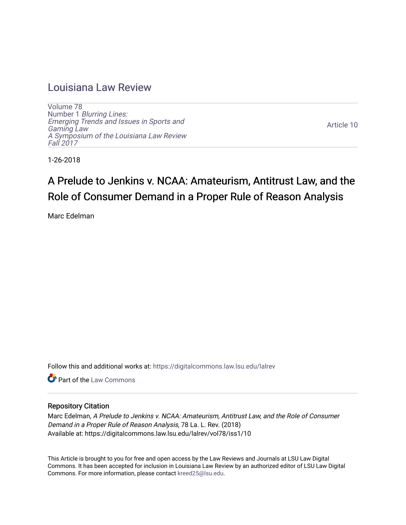# [Louisiana Law Review](https://digitalcommons.law.lsu.edu/lalrev)

[Volume 78](https://digitalcommons.law.lsu.edu/lalrev/vol78) Number 1 [Blurring Lines:](https://digitalcommons.law.lsu.edu/lalrev/vol78/iss1) [Emerging Trends and Issues in Sports and](https://digitalcommons.law.lsu.edu/lalrev/vol78/iss1)  [Gaming Law](https://digitalcommons.law.lsu.edu/lalrev/vol78/iss1)  [A Symposium of the Louisiana Law Review](https://digitalcommons.law.lsu.edu/lalrev/vol78/iss1) [Fall 2017](https://digitalcommons.law.lsu.edu/lalrev/vol78/iss1) 

[Article 10](https://digitalcommons.law.lsu.edu/lalrev/vol78/iss1/10) 

1-26-2018

# A Prelude to Jenkins v. NCAA: Amateurism, Antitrust Law, and the Role of Consumer Demand in a Proper Rule of Reason Analysis

Marc Edelman

Follow this and additional works at: [https://digitalcommons.law.lsu.edu/lalrev](https://digitalcommons.law.lsu.edu/lalrev?utm_source=digitalcommons.law.lsu.edu%2Flalrev%2Fvol78%2Fiss1%2F10&utm_medium=PDF&utm_campaign=PDFCoverPages)

**C** Part of the [Law Commons](http://network.bepress.com/hgg/discipline/578?utm_source=digitalcommons.law.lsu.edu%2Flalrev%2Fvol78%2Fiss1%2F10&utm_medium=PDF&utm_campaign=PDFCoverPages)

# Repository Citation

Marc Edelman, A Prelude to Jenkins v. NCAA: Amateurism, Antitrust Law, and the Role of Consumer Demand in a Proper Rule of Reason Analysis, 78 La. L. Rev. (2018) Available at: https://digitalcommons.law.lsu.edu/lalrev/vol78/iss1/10

This Article is brought to you for free and open access by the Law Reviews and Journals at LSU Law Digital Commons. It has been accepted for inclusion in Louisiana Law Review by an authorized editor of LSU Law Digital Commons. For more information, please contact [kreed25@lsu.edu](mailto:kreed25@lsu.edu).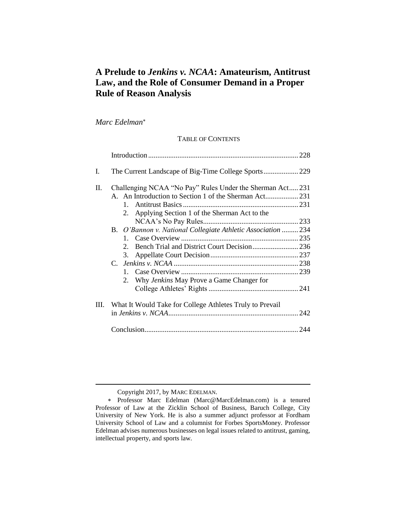# **A Prelude to** *Jenkins v. NCAA***: Amateurism, Antitrust Law, and the Role of Consumer Demand in a Proper Rule of Reason Analysis**

*Marc Edelman*

# TABLE OF CONTENTS

| L.      |                                                                                                                                                                           |  |
|---------|---------------------------------------------------------------------------------------------------------------------------------------------------------------------------|--|
| $\Pi$ . | Challenging NCAA "No Pay" Rules Under the Sherman Act 231<br>A. An Introduction to Section 1 of the Sherman Act 231<br>Applying Section 1 of the Sherman Act to the<br>2. |  |
|         | B. O'Bannon v. National Collegiate Athletic Association  234<br>$2^{\circ}$<br>3.<br>Why Jenkins May Prove a Game Changer for<br>2.                                       |  |
| Ш.      | What It Would Take for College Athletes Truly to Prevail                                                                                                                  |  |
|         |                                                                                                                                                                           |  |

Copyright 2017, by MARC EDELMAN.

Professor Marc Edelman (Marc@MarcEdelman.com) is a tenured Professor of Law at the Zicklin School of Business, Baruch College, City University of New York. He is also a summer adjunct professor at Fordham University School of Law and a columnist for Forbes SportsMoney. Professor Edelman advises numerous businesses on legal issues related to antitrust, gaming, intellectual property, and sports law.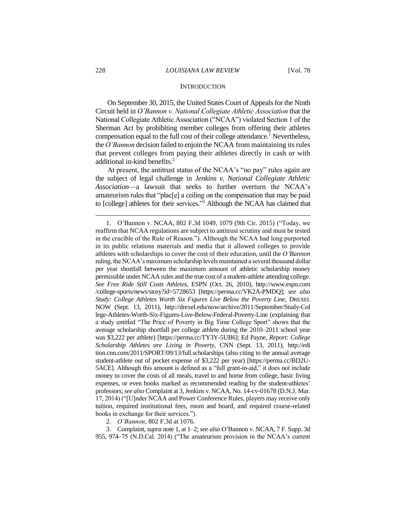#### **INTRODUCTION**

On September 30, 2015, the United States Court of Appeals for the Ninth Circuit held in *O'Bannon v. National Collegiate Athletic Association* that the National Collegiate Athletic Association ("NCAA") violated Section 1 of the Sherman Act by prohibiting member colleges from offering their athletes compensation equal to the full cost of their college attendance.<sup>1</sup> Nevertheless, the *O'Bannon* decision failed to enjoin the NCAA from maintaining its rules that prevent colleges from paying their athletes directly in cash or with additional in-kind benefits.<sup>2</sup>

At present, the antitrust status of the NCAA's "no pay" rules again are the subject of legal challenge in *Jenkins v. National Collegiate Athletic Association*—a lawsuit that seeks to further overturn the NCAA's amateurism rules that "plac[e] a ceiling on the compensation that may be paid to [college] athletes for their services."<sup>3</sup> Although the NCAA has claimed that

2. *O'Bannon*, 802 F.3d at 1076.

3. Complaint, *supra* note 1, at 1–2; *see also* O'Bannon v. NCAA, 7 F. Supp. 3d 955, 974–75 (N.D.Cal. 2014) ("The amateurism provision in the NCAA's current

<sup>1.</sup> O'Bannon v. NCAA, 802 F.3d 1049, 1079 (9th Cir. 2015) ("Today, we reaffirm that NCAA regulations are subject to antitrust scrutiny and must be tested in the crucible of the Rule of Reason."). Although the NCAA had long purported in its public relations materials and media that it allowed colleges to provide athletes with scholarships to cover the cost of their education, until the *O'Bannon* ruling, the NCAA's maximum scholarship levels maintained a several thousand dollar per year shortfall between the maximum amount of athletic scholarship money permissible under NCAA rules and the true cost of a student-athlete attending college. *See Free Ride Still Costs Athletes*, ESPN (Oct. 26, 2010), http://www.espn.com /college-sports/news/story?id=5728653 [https://perma.cc/VK2A-PMDQ]; *see also Study: College Athletes Worth Six Figures Live Below the Poverty Line*, DREXEL NOW (Sept. 13, 2011), http://drexel.edu/now/archive/2011/September/Study-Col lege-Athletes-Worth-Six-Figures-Live-Below-Federal-Poverty-Line (explaining that a study entitled "The Price of Poverty in Big Time College Sport" shows that the average scholarship shortfall per college athlete during the 2010–2011 school year was \$3,222 per athlete) [https://perma.cc/TY3Y-5UB6]; Ed Payne, *Report: College Scholarship Athletes are Living in Poverty*, CNN (Sept. 13, 2011), http://edi tion.cnn.com/2011/SPORT/09/13/full.scholarships (also citing to the annual average student-athlete out of pocket expense of \$3,222 per year) [https://perma.cc/BD2U-5ACE]. Although this amount is defined as a "full grant-in-aid," it does not include money to cover the costs of all meals, travel to and home from college, basic living expenses, or even books marked as recommended reading by the student-athletes' professors;*see also* Complaint at 3, Jenkins v. NCAA, No. 14-cv-01678 (D.N.J. Mar. 17, 2014) ("[U]nder NCAA and Power Conference Rules, players may receive only tuition, required institutional fees, room and board, and required course-related books in exchange for their services.").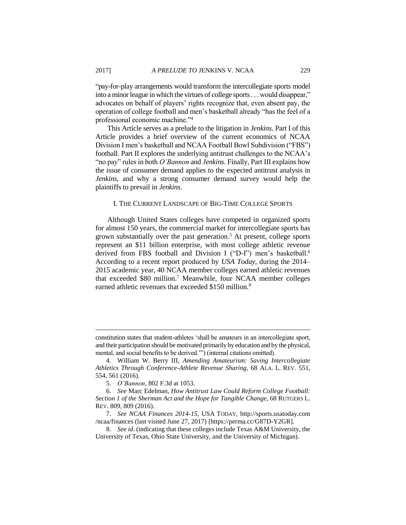"pay-for-play arrangements would transform the intercollegiate sports model into a minor league in which the virtues of college sports . . . would disappear," advocates on behalf of players' rights recognize that, even absent pay, the operation of college football and men's basketball already "has the feel of a professional economic machine."<sup>4</sup>

This Article serves as a prelude to the litigation in *Jenkins*. Part I of this Article provides a brief overview of the current economics of NCAA Division I men's basketball and NCAA Football Bowl Subdivision ("FBS") football. Part II explores the underlying antitrust challenges to the NCAA's "no pay" rules in both *O'Bannon* and *Jenkins*. Finally, Part III explains how the issue of consumer demand applies to the expected antitrust analysis in *Jenkins*, and why a strong consumer demand survey would help the plaintiffs to prevail in *Jenkins*.

#### I. THE CURRENT LANDSCAPE OF BIG-TIME COLLEGE SPORTS

Although United States colleges have competed in organized sports for almost 150 years, the commercial market for intercollegiate sports has grown substantially over the past generation.<sup>5</sup> At present, college sports represent an \$11 billion enterprise, with most college athletic revenue derived from FBS football and Division I ("D-I") men's basketball.<sup>6</sup> According to a recent report produced by *USA Today*, during the 2014– 2015 academic year, 40 NCAA member colleges earned athletic revenues that exceeded \$80 million.<sup>7</sup> Meanwhile, four NCAA member colleges earned athletic revenues that exceeded \$150 million.<sup>8</sup>

constitution states that student-athletes 'shall be amateurs in an intercollegiate sport, and their participation should be motivated primarily by education and by the physical, mental, and social benefits to be derived.'") (internal citations omitted).

<sup>4.</sup> William W. Berry III, *Amending Amateurism: Saving Intercollegiate Athletics Through Conference-Athlete Revenue Sharing*, 68 ALA. L. REV. 551, 554, 561 (2016).

<sup>5.</sup> *O'Bannon*, 802 F.3d at 1053.

<sup>6.</sup> *See* Marc Edelman, *How Antitrust Law Could Reform College Football: Section 1 of the Sherman Act and the Hope for Tangible Change*, 68 RUTGERS L. REV. 809, 809 (2016).

<sup>7.</sup> *See NCAA Finances 2014-15*, USA TODAY, http://sports.usatoday.com /ncaa/finances (last visited June 27, 2017) [https://perma.cc/G87D-Y2GR].

<sup>8.</sup> *See id*. (indicating that these colleges include Texas A&M University, the University of Texas, Ohio State University, and the University of Michigan).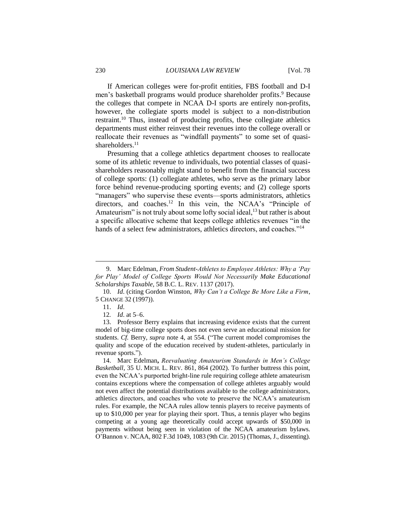If American colleges were for-profit entities, FBS football and D-I men's basketball programs would produce shareholder profits. <sup>9</sup> Because the colleges that compete in NCAA D-I sports are entirely non-profits, however, the collegiate sports model is subject to a non-distribution restraint.<sup>10</sup> Thus, instead of producing profits, these collegiate athletics departments must either reinvest their revenues into the college overall or reallocate their revenues as "windfall payments" to some set of quasishareholders.<sup>11</sup>

Presuming that a college athletics department chooses to reallocate some of its athletic revenue to individuals, two potential classes of quasishareholders reasonably might stand to benefit from the financial success of college sports: (1) collegiate athletes, who serve as the primary labor force behind revenue-producing sporting events; and (2) college sports "managers" who supervise these events—sports administrators, athletics directors, and coaches.<sup>12</sup> In this vein, the NCAA's "Principle of Amateurism" is not truly about some lofty social ideal, $13$  but rather is about a specific allocative scheme that keeps college athletics revenues "in the hands of a select few administrators, athletics directors, and coaches."<sup>14</sup>

 $\overline{a}$ 

14. Marc Edelman**,** *Reevaluating Amateurism Standards in Men's College Basketball*, 35 U. MICH. L. REV. 861, 864 (2002). To further buttress this point, even the NCAA's purported bright-line rule requiring college athlete amateurism contains exceptions where the compensation of college athletes arguably would not even affect the potential distributions available to the college administrators, athletics directors, and coaches who vote to preserve the NCAA's amateurism rules. For example, the NCAA rules allow tennis players to receive payments of up to \$10,000 per year for playing their sport. Thus, a tennis player who begins competing at a young age theoretically could accept upwards of \$50,000 in payments without being seen in violation of the NCAA amateurism bylaws. O'Bannon v. NCAA, 802 F.3d 1049, 1083 (9th Cir. 2015) (Thomas, J., dissenting).

<sup>9.</sup> Marc Edelman, *From Student-Athletes to Employee Athletes: Why a 'Pay for Play' Model of College Sports Would Not Necessarily Make Educational Scholarships Taxable*, 58 B.C. L. REV. 1137 (2017).

<sup>10.</sup> *Id*. (citing Gordon Winston, *Why Can't a College Be More Like a Firm*, 5 CHANGE 32 (1997)).

<sup>11.</sup> *Id*.

<sup>12</sup>*. Id*. at 5–6.

<sup>13.</sup> Professor Berry explains that increasing evidence exists that the current model of big-time college sports does not even serve an educational mission for students. *Cf.* Berry, *supra* note 4, at 554. ("The current model compromises the quality and scope of the education received by student-athletes, particularly in revenue sports.").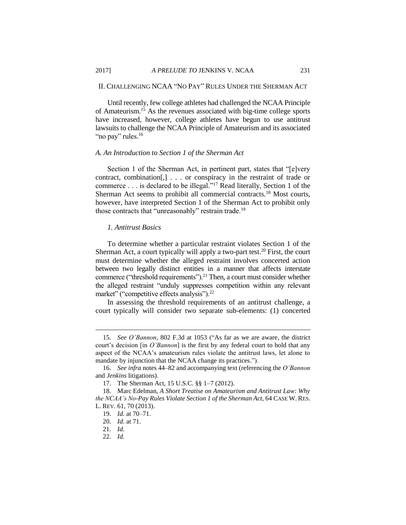#### II. CHALLENGING NCAA "NO PAY" RULES UNDER THE SHERMAN ACT

Until recently, few college athletes had challenged the NCAA Principle of Amateurism.<sup>15</sup> As the revenues associated with big-time college sports have increased, however, college athletes have begun to use antitrust lawsuits to challenge the NCAA Principle of Amateurism and its associated "no pay" rules.<sup>16</sup>

## *A. An Introduction to Section 1 of the Sherman Act*

Section 1 of the Sherman Act, in pertinent part, states that "[e]very contract, combination[,] . . . or conspiracy in the restraint of trade or commerce . . . is declared to be illegal."<sup>17</sup> Read literally, Section 1 of the Sherman Act seems to prohibit all commercial contracts.<sup>18</sup> Most courts, however, have interpreted Section 1 of the Sherman Act to prohibit only those contracts that "unreasonably" restrain trade.<sup>19</sup>

#### *1. Antitrust Basics*

To determine whether a particular restraint violates Section 1 of the Sherman Act, a court typically will apply a two-part test.<sup>20</sup> First, the court must determine whether the alleged restraint involves concerted action between two legally distinct entities in a manner that affects interstate commerce ("threshold requirements").<sup>21</sup> Then, a court must consider whether the alleged restraint "unduly suppresses competition within any relevant market" ("competitive effects analysis").<sup>22</sup>

In assessing the threshold requirements of an antitrust challenge, a court typically will consider two separate sub-elements: (1) concerted

<sup>15.</sup> *See O'Bannon*, 802 F.3d at 1053 ("As far as we are aware, the district court's decision [in *O'Bannon*] is the first by any federal court to hold that any aspect of the NCAA's amateurism rules violate the antitrust laws, let alone to mandate by injunction that the NCAA change its practices.").

<sup>16.</sup> *See infra* notes 44–82 and accompanying text (referencing the *O'Bannon* and *Jenkins* litigations).

<sup>17.</sup> The Sherman Act, 15 U.S.C. §§ 1–7 (2012).

<sup>18.</sup> Marc Edelman, *A Short Treatise on Amateurism and Antitrust Law: Why the NCAA's No-Pay Rules Violate Section 1 of the Sherman Act*, 64 CASE W. RES. L. REV. 61, 70 (2013).

<sup>19.</sup> *Id.* at 70–71.

<sup>20.</sup> *Id.* at 71.

<sup>21</sup>*. Id.*

<sup>22.</sup> *Id.*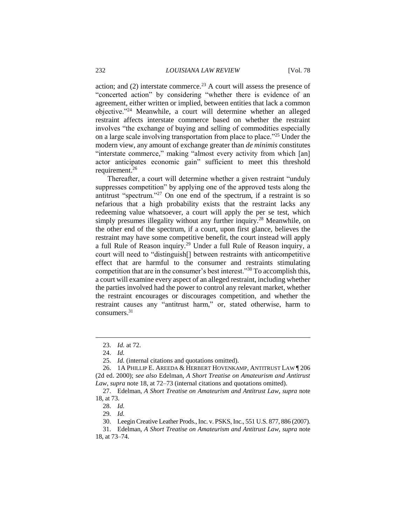action; and  $(2)$  interstate commerce.<sup>23</sup> A court will assess the presence of "concerted action" by considering "whether there is evidence of an agreement, either written or implied, between entities that lack a common objective."<sup>24</sup> Meanwhile, a court will determine whether an alleged restraint affects interstate commerce based on whether the restraint involves "the exchange of buying and selling of commodities especially on a large scale involving transportation from place to place."<sup>25</sup> Under the modern view, any amount of exchange greater than *de minimis* constitutes "interstate commerce," making "almost every activity from which [an] actor anticipates economic gain" sufficient to meet this threshold requirement.<sup>26</sup>

Thereafter, a court will determine whether a given restraint "unduly suppresses competition" by applying one of the approved tests along the antitrust "spectrum."<sup>27</sup> On one end of the spectrum, if a restraint is so nefarious that a high probability exists that the restraint lacks any redeeming value whatsoever, a court will apply the per se test, which simply presumes illegality without any further inquiry.<sup>28</sup> Meanwhile, on the other end of the spectrum, if a court, upon first glance, believes the restraint may have some competitive benefit, the court instead will apply a full Rule of Reason inquiry.<sup>29</sup> Under a full Rule of Reason inquiry, a court will need to "distinguish[] between restraints with anticompetitive effect that are harmful to the consumer and restraints stimulating competition that are in the consumer's best interest."<sup>30</sup> To accomplish this, a court will examine every aspect of an alleged restraint, including whether the parties involved had the power to control any relevant market, whether the restraint encourages or discourages competition, and whether the restraint causes any "antitrust harm," or, stated otherwise, harm to consumers.<sup>31</sup>

<sup>23.</sup> *Id.* at 72.

<sup>24.</sup> *Id.*

<sup>25.</sup> *Id.* (internal citations and quotations omitted).

<sup>26.</sup> 1A PHILLIP E. AREEDA & HERBERT HOVENKAMP, ANTITRUST LAW ¶ 206 (2d ed. 2000); *see also* Edelman, *A Short Treatise on Amateurism and Antitrust Law*, *supra* note 18, at 72–73 (internal citations and quotations omitted).

<sup>27.</sup> Edelman, *A Short Treatise on Amateurism and Antitrust Law*, *supra* note 18, at 73.

<sup>28.</sup> *Id.*

<sup>29</sup>*. Id.*

<sup>30.</sup> Leegin Creative Leather Prods., Inc. v. PSKS, Inc., 551 U.S. 877, 886 (2007).

<sup>31.</sup> Edelman, *A Short Treatise on Amateurism and Antitrust Law*, *supra* note 18, at 73–74.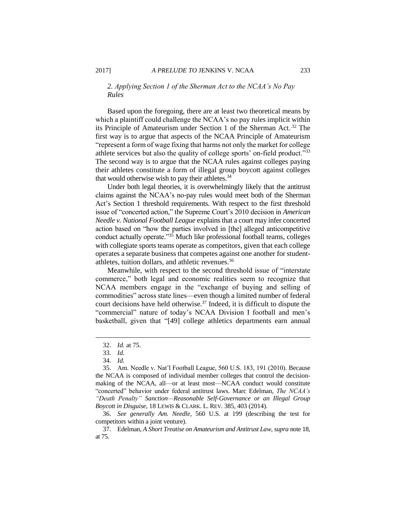#### *2. Applying Section 1 of the Sherman Act to the NCAA's No Pay Rules*

Based upon the foregoing, there are at least two theoretical means by which a plaintiff could challenge the NCAA's no pay rules implicit within its Principle of Amateurism under Section 1 of the Sherman Act.<sup>32</sup> The first way is to argue that aspects of the NCAA Principle of Amateurism "represent a form of wage fixing that harms not only the market for college athlete services but also the quality of college sports' on-field product."<sup>33</sup> The second way is to argue that the NCAA rules against colleges paying their athletes constitute a form of illegal group boycott against colleges that would otherwise wish to pay their athletes.<sup>34</sup>

Under both legal theories, it is overwhelmingly likely that the antitrust claims against the NCAA's no-pay rules would meet both of the Sherman Act's Section 1 threshold requirements. With respect to the first threshold issue of "concerted action," the Supreme Court's 2010 decision in *American Needle v. National Football League* explains that a court may infer concerted action based on "how the parties involved in [the] alleged anticompetitive conduct actually operate." $35$  Much like professional football teams, colleges with collegiate sports teams operate as competitors, given that each college operates a separate business that competes against one another for studentathletes, tuition dollars, and athletic revenues.<sup>36</sup>

Meanwhile, with respect to the second threshold issue of "interstate commerce," both legal and economic realities seem to recognize that NCAA members engage in the "exchange of buying and selling of commodities" across state lines—even though a limited number of federal court decisions have held otherwise.<sup>37</sup> Indeed, it is difficult to dispute the "commercial" nature of today's NCAA Division I football and men's basketball, given that "[49] college athletics departments earn annual

 $\overline{a}$ 

36. *See generally Am. Needle*, 560 U.S. at 199 (describing the test for competitors within a joint venture).

37. Edelman, *A Short Treatise on Amateurism and Antitrust Law*, *supra* note 18, at 75.

<sup>32.</sup> *Id.* at 75.

<sup>33.</sup> *Id.*

<sup>34.</sup> *Id.*

<sup>35.</sup> Am. Needle v. Nat'l Football League, 560 U.S. 183, 191 (2010). Because the NCAA is composed of individual member colleges that control the decisionmaking of the NCAA, all—or at least most—NCAA conduct would constitute "concerted" behavior under federal antitrust laws. Marc Edelman, *The NCAA's "Death Penalty" Sanction—Reasonable Self-Governance or an Illegal Group Boycott in Disguise*, 18 LEWIS & CLARK. L. REV. 385, 403 (2014).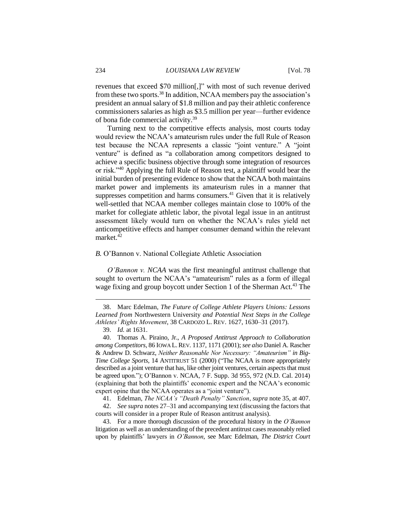revenues that exceed \$70 million[,]" with most of such revenue derived from these two sports.<sup>38</sup> In addition, NCAA members pay the association's president an annual salary of \$1.8 million and pay their athletic conference commissioners salaries as high as \$3.5 million per year—further evidence of bona fide commercial activity.<sup>39</sup>

Turning next to the competitive effects analysis, most courts today would review the NCAA's amateurism rules under the full Rule of Reason test because the NCAA represents a classic "joint venture." A "joint venture" is defined as "a collaboration among competitors designed to achieve a specific business objective through some integration of resources or risk."<sup>40</sup> Applying the full Rule of Reason test, a plaintiff would bear the initial burden of presenting evidence to show that the NCAA both maintains market power and implements its amateurism rules in a manner that suppresses competition and harms consumers.<sup>41</sup> Given that it is relatively well-settled that NCAA member colleges maintain close to 100% of the market for collegiate athletic labor, the pivotal legal issue in an antitrust assessment likely would turn on whether the NCAA's rules yield net anticompetitive effects and hamper consumer demand within the relevant market.<sup>42</sup>

#### *B.* O'Bannon v. National Collegiate Athletic Association

*O'Bannon v. NCAA* was the first meaningful antitrust challenge that sought to overturn the NCAA's "amateurism" rules as a form of illegal wage fixing and group boycott under Section 1 of the Sherman Act.<sup>43</sup> The

<sup>38.</sup> Marc Edelman, *The Future of College Athlete Players Unions: Lessons Learned from* Northwestern University *and Potential Next Steps in the College Athletes' Rights Movement*, 38 CARDOZO L. REV. 1627, 1630–31 (2017).

<sup>39.</sup> *Id.* at 1631.

<sup>40.</sup> Thomas A. Piraino, Jr., *A Proposed Antitrust Approach to Collaboration among Competitors*, 86 IOWA L.REV. 1137, 1171 (2001); *see also* Daniel A. Rascher & Andrew D. Schwarz, *Neither Reasonable Nor Necessary: "Amateurism" in Big-Time College Sports*, 14 ANTITRUST 51 (2000) ("The NCAA is more appropriately described as a joint venture that has, like other joint ventures, certain aspects that must be agreed upon."); O'Bannon v. NCAA, 7 F. Supp. 3d 955, 972 (N.D. Cal. 2014) (explaining that both the plaintiffs' economic expert and the NCAA's economic expert opine that the NCAA operates as a "joint venture").

<sup>41.</sup> Edelman, *The NCAA's "Death Penalty" Sanction*, *supra* note 35, at 407.

<sup>42.</sup> *See supra* notes 27–31 and accompanying text (discussing the factors that courts will consider in a proper Rule of Reason antitrust analysis).

<sup>43.</sup> For a more thorough discussion of the procedural history in the *O'Bannon* litigation as well as an understanding of the precedent antitrust cases reasonably relied upon by plaintiffs' lawyers in *O'Bannon*, see Marc Edelman, *The District Court*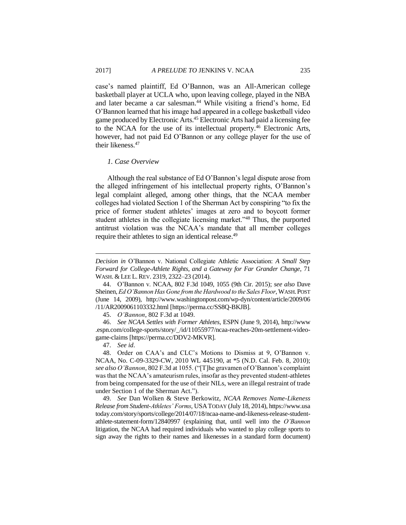case's named plaintiff, Ed O'Bannon, was an All-American college basketball player at UCLA who, upon leaving college, played in the NBA and later became a car salesman.<sup>44</sup> While visiting a friend's home, Ed O'Bannon learned that his image had appeared in a college basketball video game produced by Electronic Arts.<sup>45</sup> Electronic Arts had paid a licensing fee to the NCAA for the use of its intellectual property.<sup>46</sup> Electronic Arts, however, had not paid Ed O'Bannon or any college player for the use of their likeness.<sup>47</sup>

#### *1. Case Overview*

Although the real substance of Ed O'Bannon's legal dispute arose from the alleged infringement of his intellectual property rights, O'Bannon's legal complaint alleged, among other things, that the NCAA member colleges had violated Section 1 of the Sherman Act by conspiring "to fix the price of former student athletes' images at zero and to boycott former student athletes in the collegiate licensing market."<sup>48</sup> Thus, the purported antitrust violation was the NCAA's mandate that all member colleges require their athletes to sign an identical release.<sup>49</sup>

*Decision in* O'Bannon v. National Collegiate Athletic Association: *A Small Step Forward for College-Athlete Rights, and a Gateway for Far Grander Change*, 71 WASH. & LEE L. REV. 2319, 2322–23 (2014).

<sup>44.</sup> O'Bannon v. NCAA, 802 F.3d 1049, 1055 (9th Cir. 2015); *see also* Dave Sheinen, *Ed O'Bannon Has Gone from the Hardwood to the Sales Floor*, WASH.POST (June 14, 2009), http://www.washingtonpost.com/wp-dyn/content/article/2009/06 /11/AR2009061103332.html [https://perma.cc/SS8Q-BKJB].

<sup>45.</sup> *O'Bannon*, 802 F.3d at 1049.

<sup>46.</sup> *See NCAA Settles with Former Athletes*, ESPN (June 9, 2014), http://www .espn.com/college-sports/story/\_/id/11055977/ncaa-reaches-20m-settlement-videogame-claims [https://perma.cc/DDV2-MKVR].

<sup>47.</sup> *See id*.

<sup>48.</sup> Order on CAA's and CLC's Motions to Dismiss at 9, O'Bannon v. NCAA, No. C-09-3329-CW, 2010 WL 445190, at \*5 (N.D. Cal. Feb. 8, 2010); *see also O'Bannon*, 802 F.3d at 1055. ("[T]he gravamen of O'Bannon's complaint was that the NCAA's amateurism rules, insofar as they prevented student-athletes from being compensated for the use of their NILs, were an illegal restraint of trade under Section 1 of the Sherman Act.").

<sup>49.</sup> *See* Dan Wolken & Steve Berkowitz, *NCAA Removes Name-Likeness Release from Student-Athletes' Forms*, USATODAY (July 18, 2014), https://www.usa today.com/story/sports/college/2014/07/18/ncaa-name-and-likeness-release-studentathlete-statement-form/12840997 (explaining that, until well into the *O'Bannon* litigation, the NCAA had required individuals who wanted to play college sports to sign away the rights to their names and likenesses in a standard form document)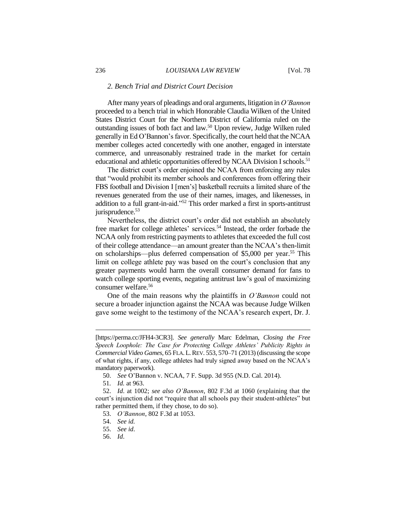#### *2. Bench Trial and District Court Decision*

After many years of pleadings and oral arguments, litigation in *O'Bannon*  proceeded to a bench trial in which Honorable Claudia Wilken of the United States District Court for the Northern District of California ruled on the outstanding issues of both fact and law.<sup>50</sup> Upon review, Judge Wilken ruled generally in Ed O'Bannon's favor. Specifically, the court held that the NCAA member colleges acted concertedly with one another, engaged in interstate commerce, and unreasonably restrained trade in the market for certain educational and athletic opportunities offered by NCAA Division I schools.<sup>51</sup>

The district court's order enjoined the NCAA from enforcing any rules that "would prohibit its member schools and conferences from offering their FBS football and Division I [men's] basketball recruits a limited share of the revenues generated from the use of their names, images, and likenesses, in addition to a full grant-in-aid."<sup>52</sup> This order marked a first in sports-antitrust jurisprudence.<sup>53</sup>

Nevertheless, the district court's order did not establish an absolutely free market for college athletes' services.<sup>54</sup> Instead, the order forbade the NCAA only from restricting payments to athletes that exceeded the full cost of their college attendance—an amount greater than the NCAA's then-limit on scholarships—plus deferred compensation of \$5,000 per year. <sup>55</sup> This limit on college athlete pay was based on the court's conclusion that any greater payments would harm the overall consumer demand for fans to watch college sporting events, negating antitrust law's goal of maximizing consumer welfare.<sup>56</sup>

One of the main reasons why the plaintiffs in *O'Bannon* could not secure a broader injunction against the NCAA was because Judge Wilken gave some weight to the testimony of the NCAA's research expert, Dr. J.

 $\overline{a}$ 

56. *Id*.

<sup>[</sup>https://perma.cc/JFH4-3CR3]. *See generally* Marc Edelman, *Closing the Free Speech Loophole: The Case for Protecting College Athletes' Publicity Rights in Commercial Video Games*, 65 FLA.L.REV. 553, 570–71 (2013) (discussing the scope of what rights, if any, college athletes had truly signed away based on the NCAA's mandatory paperwork).

<sup>50.</sup> *See* O'Bannon v. NCAA, 7 F. Supp. 3d 955 (N.D. Cal. 2014).

<sup>51</sup>*. Id.* at 963.

<sup>52.</sup> *Id*. at 1002; *see also O'Bannon*, 802 F.3d at 1060 (explaining that the court's injunction did not "require that all schools pay their student-athletes" but rather permitted them, if they chose, to do so).

<sup>53.</sup> *O'Bannon*, 802 F.3d at 1053.

<sup>54.</sup> *See id.*

<sup>55.</sup> *See id*.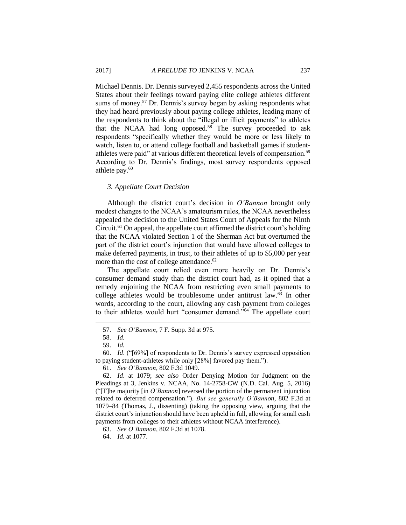Michael Dennis. Dr. Dennis surveyed 2,455 respondents across the United States about their feelings toward paying elite college athletes different sums of money.<sup>57</sup> Dr. Dennis's survey began by asking respondents what they had heard previously about paying college athletes, leading many of the respondents to think about the "illegal or illicit payments" to athletes that the NCAA had long opposed.<sup>58</sup> The survey proceeded to ask respondents "specifically whether they would be more or less likely to watch, listen to, or attend college football and basketball games if studentathletes were paid" at various different theoretical levels of compensation.<sup>59</sup> According to Dr. Dennis's findings, most survey respondents opposed athlete pay. $60$ 

#### *3. Appellate Court Decision*

Although the district court's decision in *O'Bannon* brought only modest changes to the NCAA's amateurism rules, the NCAA nevertheless appealed the decision to the United States Court of Appeals for the Ninth Circuit.<sup>61</sup> On appeal, the appellate court affirmed the district court's holding that the NCAA violated Section 1 of the Sherman Act but overturned the part of the district court's injunction that would have allowed colleges to make deferred payments, in trust, to their athletes of up to \$5,000 per year more than the cost of college attendance.<sup>62</sup>

The appellate court relied even more heavily on Dr. Dennis's consumer demand study than the district court had, as it opined that a remedy enjoining the NCAA from restricting even small payments to college athletes would be troublesome under antitrust law.<sup>63</sup> In other words, according to the court, allowing any cash payment from colleges to their athletes would hurt "consumer demand."<sup>64</sup> The appellate court

<sup>57.</sup> *See O'Bannon*, 7 F. Supp. 3d at 975.

<sup>58.</sup> *Id.*

<sup>59.</sup> *Id.*

<sup>60.</sup> *Id*. ("[69%] of respondents to Dr. Dennis's survey expressed opposition to paying student-athletes while only [28%] favored pay them.").

<sup>61.</sup> *See O'Bannon*, 802 F.3d 1049.

<sup>62.</sup> *Id*. at 1079; *see also* Order Denying Motion for Judgment on the Pleadings at 3, Jenkins v. NCAA, No. 14-2758-CW (N.D. Cal. Aug. 5, 2016) ("[T]he majority [in *O'Bannon*] reversed the portion of the permanent injunction related to deferred compensation."). *But see generally O'Bannon*, 802 F.3d at 1079–84 (Thomas, J., dissenting) (taking the opposing view, arguing that the district court's injunction should have been upheld in full, allowing for small cash payments from colleges to their athletes without NCAA interference).

<sup>63.</sup> *See O'Bannon*, 802 F.3d at 1078.

<sup>64.</sup> *Id.* at 1077.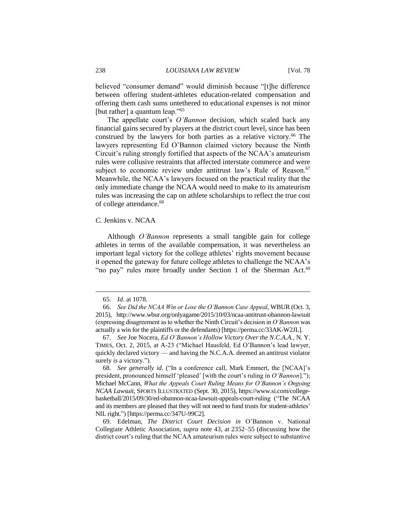believed "consumer demand" would diminish because "[t]he difference between offering student-athletes education-related compensation and offering them cash sums untethered to educational expenses is not minor [but rather] a quantum leap."<sup>65</sup>

The appellate court's *O'Bannon* decision, which scaled back any financial gains secured by players at the district court level, since has been construed by the lawyers for both parties as a relative victory.<sup>66</sup> The lawyers representing Ed O'Bannon claimed victory because the Ninth Circuit's ruling strongly fortified that aspects of the NCAA's amateurism rules were collusive restraints that affected interstate commerce and were subject to economic review under antitrust law's Rule of Reason.<sup>67</sup> Meanwhile, the NCAA's lawyers focused on the practical reality that the only immediate change the NCAA would need to make to its amateurism rules was increasing the cap on athlete scholarships to reflect the true cost of college attendance.<sup>68</sup>

#### *C.* Jenkins v. NCAA

Although *O'Bannon* represents a small tangible gain for college athletes in terms of the available compensation, it was nevertheless an important legal victory for the college athletes' rights movement because it opened the gateway for future college athletes to challenge the NCAA's "no pay" rules more broadly under Section 1 of the Sherman Act.<sup>69</sup>

<sup>65.</sup> *Id*. at 1078.

<sup>66.</sup> *See Did the NCAA Win or Lose the O'Bannon Case Appeal*, WBUR (Oct. 3, 2015), http://www.wbur.org/onlyagame/2015/10/03/ncaa-antitrust-obannon-lawsuit (expressing disagreement as to whether the Ninth Circuit's decision in *O'Bannon* was actually a win for the plaintiffs or the defendants) [https://perma.cc/33AK-W2JL].

<sup>67.</sup> *See* Joe Nocera, *Ed O'Bannon's Hollow Victory Over the N.C.A.A.*, N. Y. TIMES, Oct. 2, 2015, at A-23 ("Michael Hausfeld, Ed O'Bannon's lead lawyer, quickly declared victory — and having the N.C.A.A. deemed an antitrust violator surely *is* a victory.").

<sup>68.</sup> *See generally id*. ("In a conference call, Mark Emmert, the [NCAA]'s president, pronounced himself 'pleased' [with the court's ruling in *O'Bannon*]."); Michael McCann, *What the Appeals Court Ruling Means for O'Bannon's Ongoing NCAA Lawsuit*, SPORTS ILLUSTRATED (Sept. 30, 2015), https://www.si.com/collegebasketball/2015/09/30/ed-obannon-ncaa-lawsuit-appeals-court-ruling ("The NCAA and its members are pleased that they will not need to fund trusts for student-athletes' NIL right.") [https://perma.cc/347U-99C2].

<sup>69.</sup> Edelman, *The District Court Decision in* O'Bannon v. National Collegiate Athletic Association, *supra* note 43, at 2352–55 (discussing how the district court's ruling that the NCAA amateurism rules were subject to substantive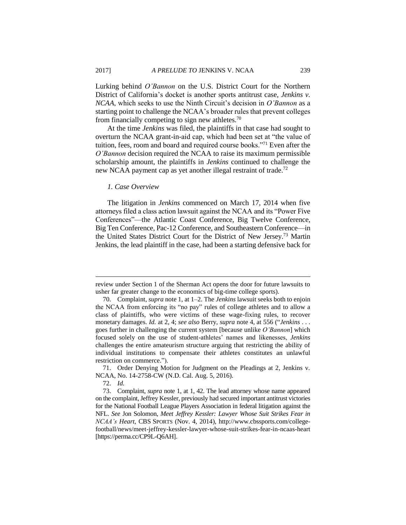Lurking behind *O'Bannon* on the U.S. District Court for the Northern District of California's docket is another sports antitrust case, *Jenkins v. NCAA*, which seeks to use the Ninth Circuit's decision in *O'Bannon* as a starting point to challenge the NCAA's broader rules that prevent colleges from financially competing to sign new athletes. $70$ 

At the time *Jenkins* was filed, the plaintiffs in that case had sought to overturn the NCAA grant-in-aid cap, which had been set at "the value of tuition, fees, room and board and required course books."<sup>71</sup> Even after the *O'Bannon* decision required the NCAA to raise its maximum permissible scholarship amount, the plaintiffs in *Jenkins* continued to challenge the new NCAA payment cap as yet another illegal restraint of trade.<sup>72</sup>

#### *1. Case Overview*

The litigation in *Jenkins* commenced on March 17, 2014 when five attorneys filed a class action lawsuit against the NCAA and its "Power Five Conferences"—the Atlantic Coast Conference, Big Twelve Conference, Big Ten Conference, Pac-12 Conference, and Southeastern Conference—in the United States District Court for the District of New Jersey.<sup>73</sup> Martin Jenkins, the lead plaintiff in the case, had been a starting defensive back for

71. Order Denying Motion for Judgment on the Pleadings at 2, Jenkins v. NCAA, No. 14-2758-CW (N.D. Cal. Aug. 5, 2016).

72. *Id.*

review under Section 1 of the Sherman Act opens the door for future lawsuits to usher far greater change to the economics of big-time college sports).

<sup>70.</sup> Complaint, *supra* note 1, at 1–2. The *Jenkins* lawsuit seeks both to enjoin the NCAA from enforcing its "no pay" rules of college athletes and to allow a class of plaintiffs, who were victims of these wage-fixing rules, to recover monetary damages. *Id.* at 2, 4; *see also* Berry, *supra* note 4, at 556 ("*Jenkins* . . . goes further in challenging the current system [because unlike *O'Bannon*] which focused solely on the use of student-athletes' names and likenesses, *Jenkins*  challenges the entire amateurism structure arguing that restricting the ability of individual institutions to compensate their athletes constitutes an unlawful restriction on commerce.").

<sup>73.</sup> Complaint, *supra* note 1, at 1, 42. The lead attorney whose name appeared on the complaint, Jeffrey Kessler, previously had secured important antitrust victories for the National Football League Players Association in federal litigation against the NFL. *See* Jon Solomon, *Meet Jeffrey Kessler: Lawyer Whose Suit Strikes Fear in NCAA's Heart*, CBS SPORTS (Nov. 4, 2014), http://www.cbssports.com/collegefootball/news/meet-jeffrey-kessler-lawyer-whose-suit-strikes-fear-in-ncaas-heart [https://perma.cc/CP9L-Q6AH].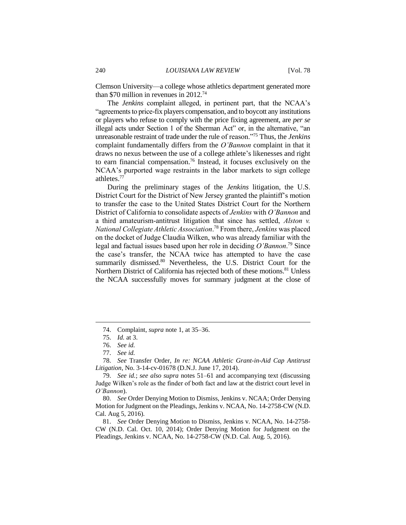Clemson University—a college whose athletics department generated more than \$70 million in revenues in 2012.<sup>74</sup>

The *Jenkins* complaint alleged, in pertinent part, that the NCAA's "agreements to price-fix players compensation, and to boycott any institutions or players who refuse to comply with the price fixing agreement, are *per se*  illegal acts under Section 1 of the Sherman Act" or, in the alternative, "an unreasonable restraint of trade under the rule of reason."<sup>75</sup> Thus, the *Jenkins* complaint fundamentally differs from the *O'Bannon* complaint in that it draws no nexus between the use of a college athlete's likenesses and right to earn financial compensation.<sup>76</sup> Instead, it focuses exclusively on the NCAA's purported wage restraints in the labor markets to sign college athletes.<sup>77</sup>

During the preliminary stages of the *Jenkins* litigation, the U.S. District Court for the District of New Jersey granted the plaintiff's motion to transfer the case to the United States District Court for the Northern District of California to consolidate aspects of *Jenkins* with *O'Bannon* and a third amateurism-antitrust litigation that since has settled, *Alston v. National Collegiate Athletic Association*. <sup>78</sup> From there, *Jenkins* was placed on the docket of Judge Claudia Wilken, who was already familiar with the legal and factual issues based upon her role in deciding *O'Bannon*. <sup>79</sup> Since the case's transfer, the NCAA twice has attempted to have the case summarily dismissed.<sup>80</sup> Nevertheless, the U.S. District Court for the Northern District of California has rejected both of these motions.<sup>81</sup> Unless the NCAA successfully moves for summary judgment at the close of

 $\overline{a}$ 

78. *See* Transfer Order, *In re: NCAA Athletic Grant-in-Aid Cap Antitrust Litigation*, No. 3-14-cv-01678 (D.N.J. June 17, 2014).

<sup>74.</sup> Complaint, *supra* note 1, at 35–36.

<sup>75.</sup> *Id.* at 3.

<sup>76.</sup> *See id.*

<sup>77.</sup> *See id.*

<sup>79.</sup> *See id.*; *see also supra* notes 51–61 and accompanying text (discussing Judge Wilken's role as the finder of both fact and law at the district court level in *O'Bannon*).

<sup>80.</sup> *See* Order Denying Motion to Dismiss, Jenkins v. NCAA; Order Denying Motion for Judgment on the Pleadings, Jenkins v. NCAA, No. 14-2758-CW (N.D. Cal. Aug 5, 2016).

<sup>81.</sup> *See* Order Denying Motion to Dismiss, Jenkins v. NCAA, No. 14-2758- CW (N.D. Cal. Oct. 10, 2014); Order Denying Motion for Judgment on the Pleadings, Jenkins v. NCAA, No. 14-2758-CW (N.D. Cal. Aug. 5, 2016).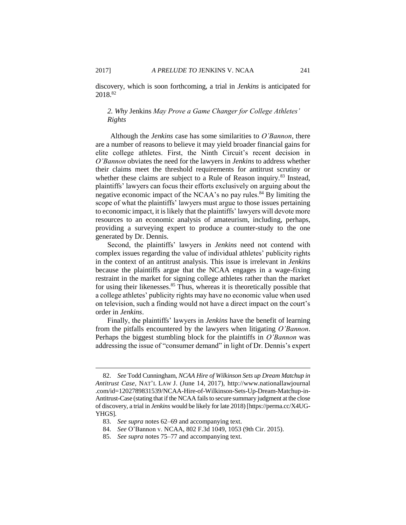discovery, which is soon forthcoming, a trial in *Jenkins* is anticipated for 2018.<sup>82</sup>

## *2. Why* Jenkins *May Prove a Game Changer for College Athletes' Rights*

Although the *Jenkins* case has some similarities to *O'Bannon*, there are a number of reasons to believe it may yield broader financial gains for elite college athletes. First, the Ninth Circuit's recent decision in *O'Bannon* obviates the need for the lawyers in *Jenkins* to address whether their claims meet the threshold requirements for antitrust scrutiny or whether these claims are subject to a Rule of Reason inquiry.<sup>83</sup> Instead, plaintiffs' lawyers can focus their efforts exclusively on arguing about the negative economic impact of the NCAA's no pay rules.<sup>84</sup> By limiting the scope of what the plaintiffs' lawyers must argue to those issues pertaining to economic impact, it is likely that the plaintiffs' lawyers will devote more resources to an economic analysis of amateurism, including, perhaps, providing a surveying expert to produce a counter-study to the one generated by Dr. Dennis.

Second, the plaintiffs' lawyers in *Jenkins* need not contend with complex issues regarding the value of individual athletes' publicity rights in the context of an antitrust analysis. This issue is irrelevant in *Jenkins* because the plaintiffs argue that the NCAA engages in a wage-fixing restraint in the market for signing college athletes rather than the market for using their likenesses.<sup>85</sup> Thus, whereas it is theoretically possible that a college athletes' publicity rights may have no economic value when used on television, such a finding would not have a direct impact on the court's order in *Jenkins*.

Finally, the plaintiffs' lawyers in *Jenkins* have the benefit of learning from the pitfalls encountered by the lawyers when litigating *O'Bannon*. Perhaps the biggest stumbling block for the plaintiffs in *O'Bannon* was addressing the issue of "consumer demand" in light of Dr. Dennis's expert

<sup>82.</sup> *See* Todd Cunningham, *NCAA Hire of Wilkinson Sets up Dream Matchup in Antitrust Case*, NAT'L LAW J. (June 14, 2017), http://www.nationallawjournal .com/id=1202789831539/NCAA-Hire-of-Wilkinson-Sets-Up-Dream-Matchup-in-Antitrust-Case (stating that if the NCAA fails to secure summary judgment at the close of discovery, a trial in *Jenkins* would be likely for late 2018) [https://perma.cc/X4UG-YHGS].

<sup>83.</sup> *See supra* notes 62–69 and accompanying text.

<sup>84.</sup> *See* O'Bannon v. NCAA, 802 F.3d 1049, 1053 (9th Cir. 2015).

<sup>85.</sup> *See supra* notes 75–77 and accompanying text.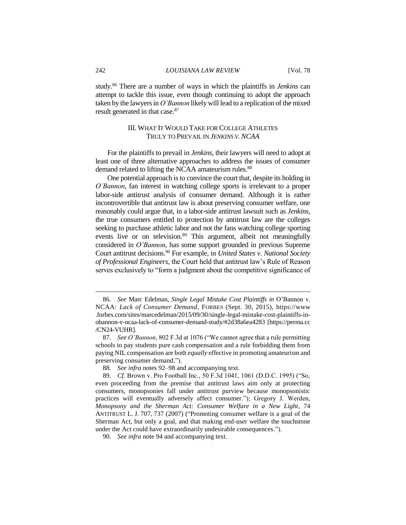study.<sup>86</sup> There are a number of ways in which the plaintiffs in *Jenkins* can attempt to tackle this issue, even though continuing to adopt the approach taken by the lawyers in *O'Bannon* likely will lead to a replication of the mixed result generated in that case.<sup>87</sup>

## III. WHAT IT WOULD TAKE FOR COLLEGE ATHLETES TRULY TO PREVAIL IN *JENKINS V.NCAA*

For the plaintiffs to prevail in *Jenkins*, their lawyers will need to adopt at least one of three alternative approaches to address the issues of consumer demand related to lifting the NCAA amateurism rules.<sup>88</sup>

One potential approach is to convince the court that, despite its holding in *O'Bannon*, fan interest in watching college sports is irrelevant to a proper labor-side antitrust analysis of consumer demand. Although it is rather incontrovertible that antitrust law is about preserving consumer welfare, one reasonably could argue that, in a labor-side antitrust lawsuit such as *Jenkins*, the true consumers entitled to protection by antitrust law are the colleges seeking to purchase athletic labor and not the fans watching college sporting events live or on television.<sup>89</sup> This argument, albeit not meaningfully considered in *O'Bannon*, has some support grounded in previous Supreme Court antitrust decisions.<sup>90</sup> For example, in *United States v. National Society of Professional Engineers*, the Court held that antitrust law's Rule of Reason serves exclusively to "form a judgment about the competitive significance of

<sup>86.</sup> *See* Marc Edelman, *Single Legal Mistake Cost Plaintiffs in* O'Bannon v. NCAA*: Lack of Consumer Demand*, FORBES (Sept. 30, 2015), https://www .forbes.com/sites/marcedelman/2015/09/30/single-legal-mistake-cost-plaintiffs-inobannon-v-ncaa-lack-of-consumer-demand-study/#2d38a6ea4283 [https://perma.cc /CN24-VUHR].

<sup>87.</sup> *See O'Bannon*, 802 F.3d at 1076 ("We cannot agree that a rule permitting schools to pay students pure cash compensation and a rule forbidding them from paying NIL compensation are both *equally* effective in promoting amateurism and preserving consumer demand.").

<sup>88.</sup> *See infra* notes 92–98 and accompanying text.

<sup>89.</sup> *Cf.* Brown v. Pro Football Inc., 50 F.3d 1041, 1061 (D.D.C. 1995) ("So, even proceeding from the premise that antitrust laws aim only at protecting consumers, monopsonies fall under antitrust purview because monopsonistic practices will eventually adversely affect consumer."); Gregory J. Werden, *Monopsony and the Sherman Act: Consumer Welfare in a New Light*, 74 ANTITRUST L. J. 707, 737 (2007) ("Promoting consumer welfare is a goal of the Sherman Act, but only a goal, and that making end-user welfare the touchstone under the Act could have extraordinarily undesirable consequences.").

<sup>90.</sup> *See infra* note 94 and accompanying text.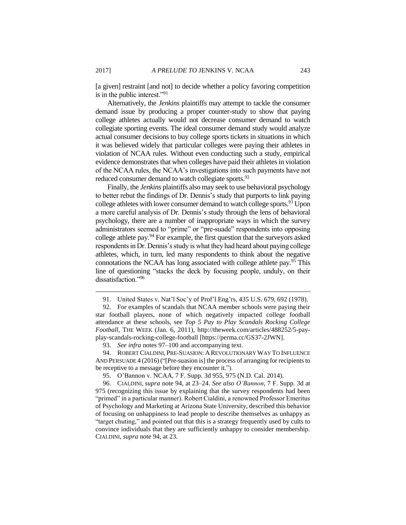[a given] restraint [and not] to decide whether a policy favoring competition is in the public interest."<sup>91</sup>

Alternatively, the *Jenkins* plaintiffs may attempt to tackle the consumer demand issue by producing a proper counter-study to show that paying college athletes actually would not decrease consumer demand to watch collegiate sporting events. The ideal consumer demand study would analyze actual consumer decisions to buy college sports tickets in situations in which it was believed widely that particular colleges were paying their athletes in violation of NCAA rules. Without even conducting such a study, empirical evidence demonstrates that when colleges have paid their athletes in violation of the NCAA rules, the NCAA's investigations into such payments have not reduced consumer demand to watch collegiate sports.<sup>92</sup>

Finally, the *Jenkins* plaintiffs also may seek to use behavioral psychology to better rebut the findings of Dr. Dennis's study that purports to link paying college athletes with lower consumer demand to watch college sports.<sup>93</sup> Upon a more careful analysis of Dr. Dennis's study through the lens of behavioral psychology, there are a number of inappropriate ways in which the survey administrators seemed to "prime" or "pre-suade" respondents into opposing college athlete pay.<sup>94</sup> For example, the first question that the surveyors asked respondents in Dr. Dennis's study is what they had heard about paying college athletes, which, in turn, led many respondents to think about the negative connotations the NCAA has long associated with college athlete pay.<sup>95</sup> This line of questioning "stacks the deck by focusing people, unduly, on their dissatisfaction."96

<sup>91.</sup> United States v. Nat'l Soc'y of Prof'l Eng'rs, 435 U.S. 679, 692 (1978).

<sup>92.</sup> For examples of scandals that NCAA member schools were paying their star football players, none of which negatively impacted college football attendance at these schools, see *Top 5 Pay to Play Scandals Rocking College Football*, THE WEEK (Jan. 6, 2011), http://theweek.com/articles/488252/5-payplay-scandals-rocking-college-football [https://perma.cc/GS37-2JWN].

<sup>93.</sup> *See infra* notes 97–100 and accompanying text.

<sup>94.</sup> ROBERT CIALDINI, PRE-SUASION: A REVOLUTIONARY WAY TO INFLUENCE AND PERSUADE 4 (2016)("[Pre-suasion is] the process of arranging for recipients to be receptive to a message before they encounter it.").

<sup>95.</sup> O'Bannon v. NCAA, 7 F. Supp. 3d 955, 975 (N.D. Cal. 2014).

<sup>96.</sup> CIALDINI, *supra* note 94, at 23–24. *See also O'Bannon*, 7 F. Supp. 3d at 975 (recognizing this issue by explaining that the survey respondents had been "primed" in a particular manner). Robert Cialdini, a renowned Professor Emeritus of Psychology and Marketing at Arizona State University, described this behavior of focusing on unhappiness to lead people to describe themselves as unhappy as "target chuting," and pointed out that this is a strategy frequently used by cults to convince individuals that they are sufficiently unhappy to consider membership. CIALDINI, *supra* note 94, at 23.